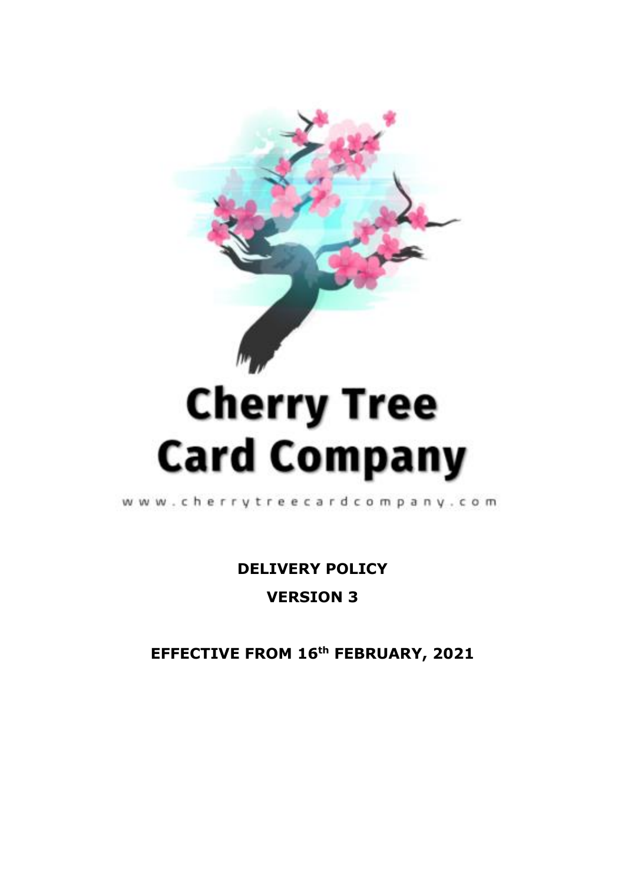

# **Cherry Tree Card Company**

www.cherrytreecardcompany.com

**DELIVERY POLICY VERSION 3** 

EFFECTIVE FROM 16th FEBRUARY, 2021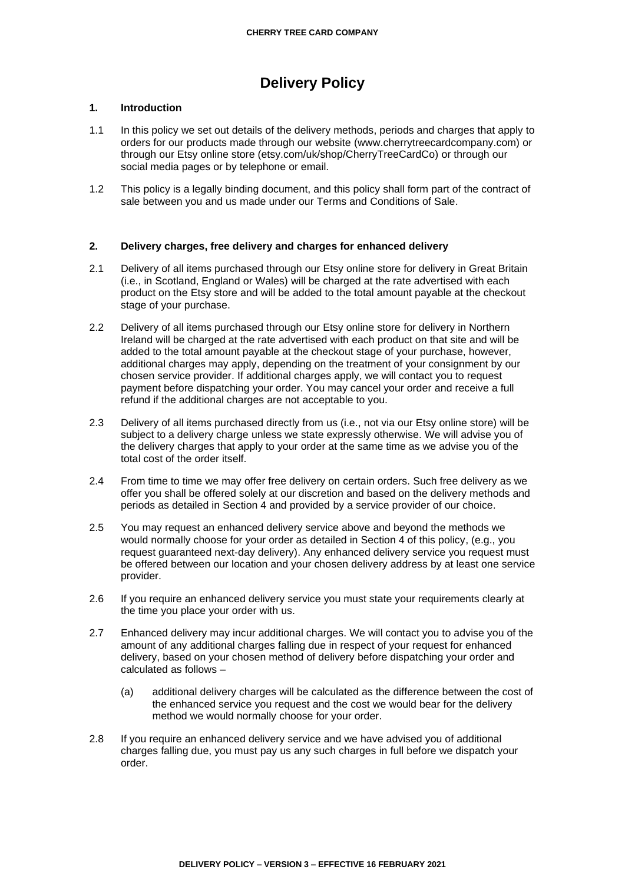# **Delivery Policy**

# **1. Introduction**

- 1.1 In this policy we set out details of the delivery methods, periods and charges that apply to orders for our products made through our website (www.cherrytreecardcompany.com) or through our Etsy online store (etsy.com/uk/shop/CherryTreeCardCo) or through our social media pages or by telephone or email.
- 1.2 This policy is a legally binding document, and this policy shall form part of the contract of sale between you and us made under our Terms and Conditions of Sale.

# **2. Delivery charges, free delivery and charges for enhanced delivery**

- 2.1 Delivery of all items purchased through our Etsy online store for delivery in Great Britain (i.e., in Scotland, England or Wales) will be charged at the rate advertised with each product on the Etsy store and will be added to the total amount payable at the checkout stage of your purchase.
- 2.2 Delivery of all items purchased through our Etsy online store for delivery in Northern Ireland will be charged at the rate advertised with each product on that site and will be added to the total amount payable at the checkout stage of your purchase, however, additional charges may apply, depending on the treatment of your consignment by our chosen service provider. If additional charges apply, we will contact you to request payment before dispatching your order. You may cancel your order and receive a full refund if the additional charges are not acceptable to you.
- 2.3 Delivery of all items purchased directly from us (i.e., not via our Etsy online store) will be subject to a delivery charge unless we state expressly otherwise. We will advise you of the delivery charges that apply to your order at the same time as we advise you of the total cost of the order itself.
- 2.4 From time to time we may offer free delivery on certain orders. Such free delivery as we offer you shall be offered solely at our discretion and based on the delivery methods and periods as detailed in Section 4 and provided by a service provider of our choice.
- 2.5 You may request an enhanced delivery service above and beyond the methods we would normally choose for your order as detailed in Section 4 of this policy, (e.g., you request guaranteed next-day delivery). Any enhanced delivery service you request must be offered between our location and your chosen delivery address by at least one service provider.
- 2.6 If you require an enhanced delivery service you must state your requirements clearly at the time you place your order with us.
- 2.7 Enhanced delivery may incur additional charges. We will contact you to advise you of the amount of any additional charges falling due in respect of your request for enhanced delivery, based on your chosen method of delivery before dispatching your order and calculated as follows –
	- (a) additional delivery charges will be calculated as the difference between the cost of the enhanced service you request and the cost we would bear for the delivery method we would normally choose for your order.
- 2.8 If you require an enhanced delivery service and we have advised you of additional charges falling due, you must pay us any such charges in full before we dispatch your order.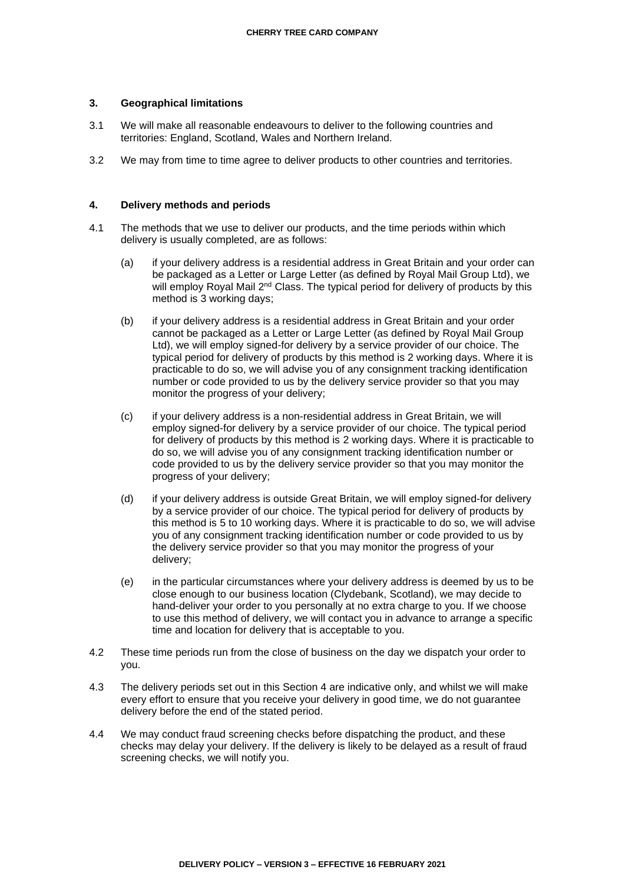## **3. Geographical limitations**

- 3.1 We will make all reasonable endeavours to deliver to the following countries and territories: England, Scotland, Wales and Northern Ireland.
- 3.2 We may from time to time agree to deliver products to other countries and territories.

## **4. Delivery methods and periods**

- 4.1 The methods that we use to deliver our products, and the time periods within which delivery is usually completed, are as follows:
	- (a) if your delivery address is a residential address in Great Britain and your order can be packaged as a Letter or Large Letter (as defined by Royal Mail Group Ltd), we will employ Royal Mail 2<sup>nd</sup> Class. The typical period for delivery of products by this method is 3 working days;
	- (b) if your delivery address is a residential address in Great Britain and your order cannot be packaged as a Letter or Large Letter (as defined by Royal Mail Group Ltd), we will employ signed-for delivery by a service provider of our choice. The typical period for delivery of products by this method is 2 working days. Where it is practicable to do so, we will advise you of any consignment tracking identification number or code provided to us by the delivery service provider so that you may monitor the progress of your delivery;
	- (c) if your delivery address is a non-residential address in Great Britain, we will employ signed-for delivery by a service provider of our choice. The typical period for delivery of products by this method is 2 working days. Where it is practicable to do so, we will advise you of any consignment tracking identification number or code provided to us by the delivery service provider so that you may monitor the progress of your delivery;
	- (d) if your delivery address is outside Great Britain, we will employ signed-for delivery by a service provider of our choice. The typical period for delivery of products by this method is 5 to 10 working days. Where it is practicable to do so, we will advise you of any consignment tracking identification number or code provided to us by the delivery service provider so that you may monitor the progress of your delivery;
	- (e) in the particular circumstances where your delivery address is deemed by us to be close enough to our business location (Clydebank, Scotland), we may decide to hand-deliver your order to you personally at no extra charge to you. If we choose to use this method of delivery, we will contact you in advance to arrange a specific time and location for delivery that is acceptable to you.
- 4.2 These time periods run from the close of business on the day we dispatch your order to you.
- 4.3 The delivery periods set out in this Section 4 are indicative only, and whilst we will make every effort to ensure that you receive your delivery in good time, we do not guarantee delivery before the end of the stated period.
- 4.4 We may conduct fraud screening checks before dispatching the product, and these checks may delay your delivery. If the delivery is likely to be delayed as a result of fraud screening checks, we will notify you.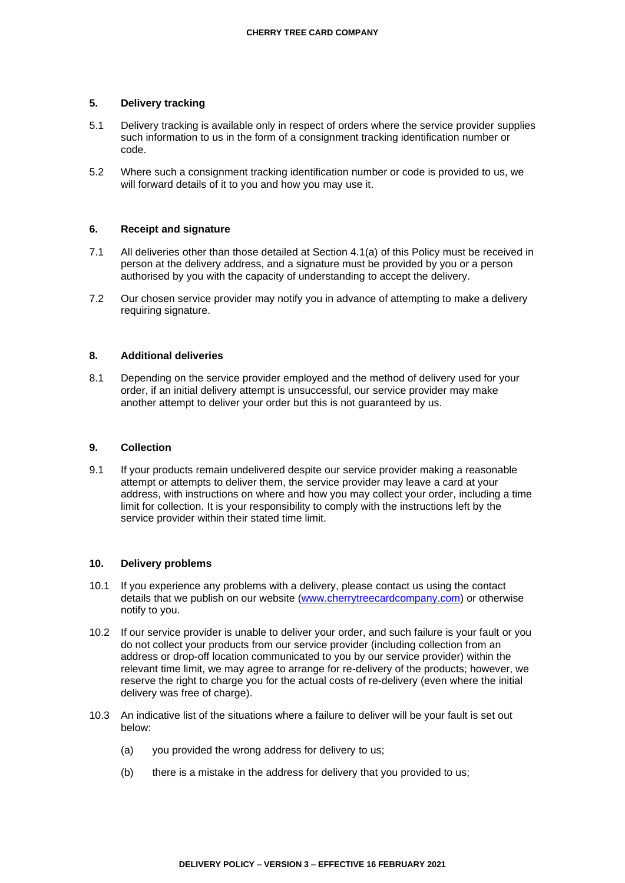# **5. Delivery tracking**

- 5.1 Delivery tracking is available only in respect of orders where the service provider supplies such information to us in the form of a consignment tracking identification number or code.
- 5.2 Where such a consignment tracking identification number or code is provided to us, we will forward details of it to you and how you may use it.

# **6. Receipt and signature**

- 7.1 All deliveries other than those detailed at Section 4.1(a) of this Policy must be received in person at the delivery address, and a signature must be provided by you or a person authorised by you with the capacity of understanding to accept the delivery.
- 7.2 Our chosen service provider may notify you in advance of attempting to make a delivery requiring signature.

#### **8. Additional deliveries**

8.1 Depending on the service provider employed and the method of delivery used for your order, if an initial delivery attempt is unsuccessful, our service provider may make another attempt to deliver your order but this is not guaranteed by us.

#### **9. Collection**

9.1 If your products remain undelivered despite our service provider making a reasonable attempt or attempts to deliver them, the service provider may leave a card at your address, with instructions on where and how you may collect your order, including a time limit for collection. It is your responsibility to comply with the instructions left by the service provider within their stated time limit.

#### **10. Delivery problems**

- 10.1 If you experience any problems with a delivery, please contact us using the contact details that we publish on our website [\(www.cherrytreecardcompany.com\)](http://www.cherrytreecardcompany.com/) or otherwise notify to you.
- 10.2 If our service provider is unable to deliver your order, and such failure is your fault or you do not collect your products from our service provider (including collection from an address or drop-off location communicated to you by our service provider) within the relevant time limit, we may agree to arrange for re-delivery of the products; however, we reserve the right to charge you for the actual costs of re-delivery (even where the initial delivery was free of charge).
- 10.3 An indicative list of the situations where a failure to deliver will be your fault is set out below:
	- (a) you provided the wrong address for delivery to us;
	- (b) there is a mistake in the address for delivery that you provided to us;